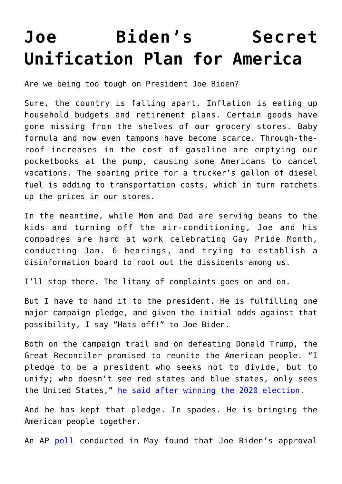## **[Joe Biden's Secret](https://intellectualtakeout.org/2022/06/joe-bidens-secret-unification-plan-for-america/) [Unification Plan for America](https://intellectualtakeout.org/2022/06/joe-bidens-secret-unification-plan-for-america/)**

Are we being too tough on President Joe Biden?

Sure, the country is falling apart. Inflation is eating up household budgets and retirement plans. Certain goods have gone missing from the shelves of our grocery stores. Baby formula and now even tampons have become scarce. Through-theroof increases in the cost of gasoline are emptying our pocketbooks at the pump, causing some Americans to cancel vacations. The soaring price for a trucker's gallon of diesel fuel is adding to transportation costs, which in turn ratchets up the prices in our stores.

In the meantime, while Mom and Dad are serving beans to the kids and turning off the air-conditioning, Joe and his compadres are hard at work celebrating Gay Pride Month, conducting Jan. 6 hearings, and trying to establish a disinformation board to root out the dissidents among us.

I'll stop there. The litany of complaints goes on and on.

But I have to hand it to the president. He is fulfilling one major campaign pledge, and given the initial odds against that possibility, I say "Hats off!" to Joe Biden.

Both on the campaign trail and on defeating Donald Trump, the Great Reconciler promised to reunite the American people. "I pledge to be a president who seeks not to divide, but to unify; who doesn't see red states and blue states, only sees the United States," [he said after winning the 2020 election](https://economictimes.indiatimes.com/news/international/world-news/president-elect-joe-biden-pledges-to-unite-america-calls-it-a-time-to-heal-in-america/articleshow/79107735.cms?from=mdr).

And he has kept that pledge. In spades. He is bringing the American people together.

An AP [poll](https://apnews.com/article/biden-approval-rating-drops-ap-norc-poll-d41bce85e1b062b588a32908b2affa65) conducted in May found that Joe Biden's approval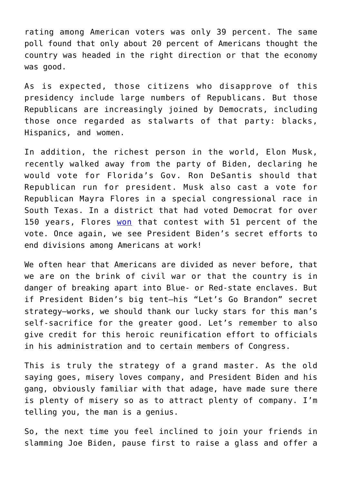rating among American voters was only 39 percent. The same poll found that only about 20 percent of Americans thought the country was headed in the right direction or that the economy was good.

As is expected, those citizens who disapprove of this presidency include large numbers of Republicans. But those Republicans are increasingly joined by Democrats, including those once regarded as stalwarts of that party: blacks, Hispanics, and women.

In addition, the richest person in the world, Elon Musk, recently walked away from the party of Biden, declaring he would vote for Florida's Gov. Ron DeSantis should that Republican run for president. Musk also cast a vote for Republican Mayra Flores in a special congressional race in South Texas. In a district that had voted Democrat for over 150 years, Flores [won](https://www.texasmonthly.com/news-politics/mayra-flores-wins-republicans-south-texas/) that contest with 51 percent of the vote. Once again, we see President Biden's secret efforts to end divisions among Americans at work!

We often hear that Americans are divided as never before, that we are on the brink of civil war or that the country is in danger of breaking apart into Blue- or Red-state enclaves. But if President Biden's big tent—his "Let's Go Brandon" secret strategy—works, we should thank our lucky stars for this man's self-sacrifice for the greater good. Let's remember to also give credit for this heroic reunification effort to officials in his administration and to certain members of Congress.

This is truly the strategy of a grand master. As the old saying goes, misery loves company, and President Biden and his gang, obviously familiar with that adage, have made sure there is plenty of misery so as to attract plenty of company. I'm telling you, the man is a genius.

So, the next time you feel inclined to join your friends in slamming Joe Biden, pause first to raise a glass and offer a